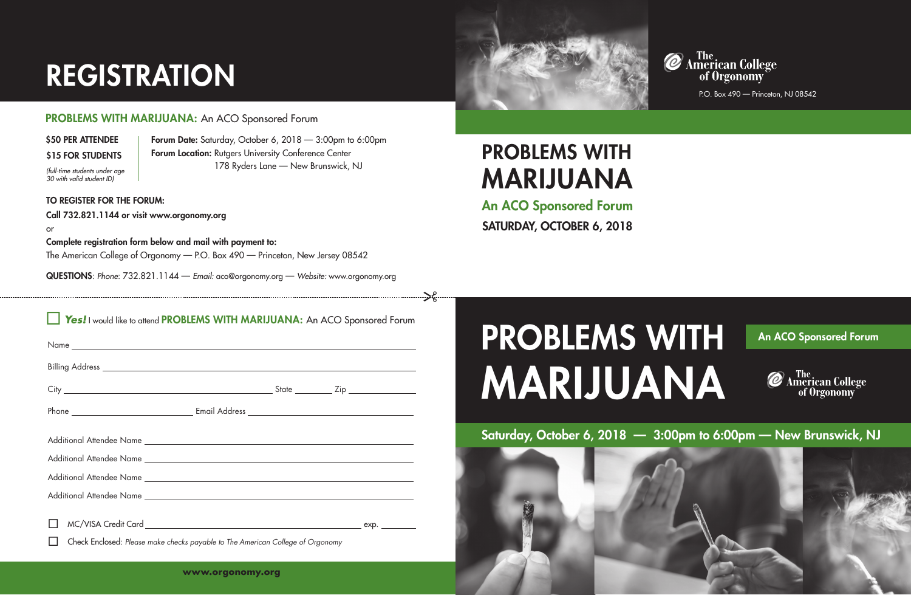## PROBLEMS WITH MARIJUANA

P.O. Box 490 — Princeton, NJ 08542

An ACO Sponsored Forum SATURDAY, OCTOBER 6, 2018

## PROBLEMS WITH An ACO Sponsored Forum MARIJUANA **@** American College<br>of Orgonomy



## Saturday, October 6, 2018 — 3:00pm to 6:00pm — New Brunswick, NJ

| $\sim$ $\sim$<br>Yes! I would like to attend PROBLEMS WITH MARIJUANA: An ACO Sponsored Forum |  |  |
|----------------------------------------------------------------------------------------------|--|--|
|                                                                                              |  |  |
|                                                                                              |  |  |
|                                                                                              |  |  |
|                                                                                              |  |  |
|                                                                                              |  |  |
|                                                                                              |  |  |
|                                                                                              |  |  |
|                                                                                              |  |  |
|                                                                                              |  |  |
| Check Enclosed: Please make checks payable to The American College of Orgonomy               |  |  |



# REGISTRATION

### PROBLEMS WITH MARIJUANA: An ACO Sponsored Forum

## \$50 PER ATTENDEE Forum Date: Saturday, October 6, 2018 - 3:00pm to 6:00pm

178 Ryders Lane — New Brunswick, NJ

Ć *(full-time students under age 30 with valid student ID)*

### TO REGISTER FOR THE FORUM:

Call 732.821.1144 or visit www.orgonomy.org

or Complete registration form below and mail with payment to: The American College of Orgonomy — P.O. Box 490 — Princeton, New Jersey 08542

QUESTIONS: *Phone*: 732.821.1144 — *Email:* aco@orgonomy.org — *Website:* www.orgonomy.org

Forum Location: Rutgers University Conference Center



\$15 FOR STUDENTS